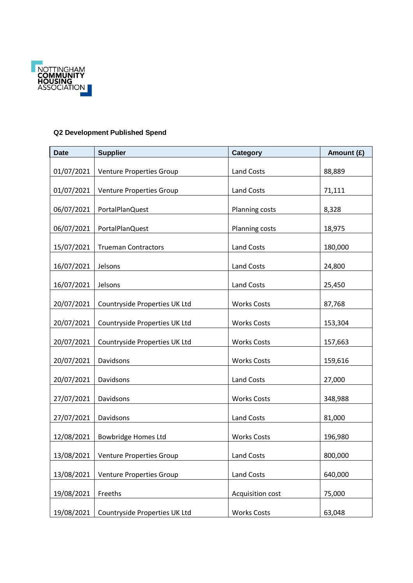

## **Q2 Development Published Spend**

| <b>Date</b> | <b>Supplier</b>                 | <b>Category</b>    | Amount (£) |
|-------------|---------------------------------|--------------------|------------|
| 01/07/2021  | Venture Properties Group        | Land Costs         | 88,889     |
| 01/07/2021  | Venture Properties Group        | Land Costs         | 71,111     |
| 06/07/2021  | PortalPlanQuest                 | Planning costs     | 8,328      |
| 06/07/2021  | PortalPlanQuest                 | Planning costs     | 18,975     |
| 15/07/2021  | <b>Trueman Contractors</b>      | Land Costs         | 180,000    |
| 16/07/2021  | Jelsons                         | Land Costs         | 24,800     |
| 16/07/2021  | Jelsons                         | Land Costs         | 25,450     |
| 20/07/2021  | Countryside Properties UK Ltd   | <b>Works Costs</b> | 87,768     |
| 20/07/2021  | Countryside Properties UK Ltd   | <b>Works Costs</b> | 153,304    |
| 20/07/2021  | Countryside Properties UK Ltd   | <b>Works Costs</b> | 157,663    |
| 20/07/2021  | Davidsons                       | <b>Works Costs</b> | 159,616    |
| 20/07/2021  | Davidsons                       | Land Costs         | 27,000     |
| 27/07/2021  | Davidsons                       | <b>Works Costs</b> | 348,988    |
| 27/07/2021  | Davidsons                       | Land Costs         | 81,000     |
| 12/08/2021  | Bowbridge Homes Ltd             | <b>Works Costs</b> | 196,980    |
| 13/08/2021  | <b>Venture Properties Group</b> | Land Costs         | 800,000    |
| 13/08/2021  | Venture Properties Group        | Land Costs         | 640,000    |
| 19/08/2021  | Freeths                         | Acquisition cost   | 75,000     |
| 19/08/2021  | Countryside Properties UK Ltd   | <b>Works Costs</b> | 63,048     |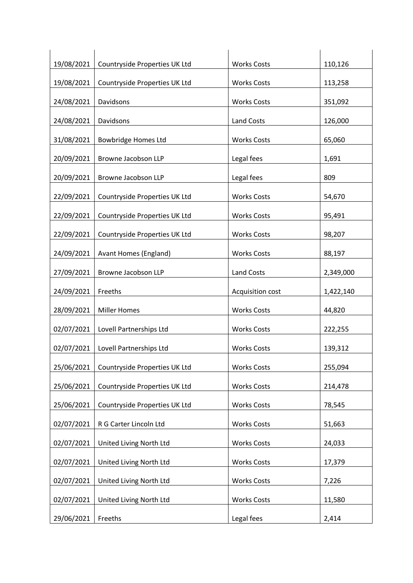| 19/08/2021 | Countryside Properties UK Ltd | <b>Works Costs</b> | 110,126   |
|------------|-------------------------------|--------------------|-----------|
| 19/08/2021 | Countryside Properties UK Ltd | <b>Works Costs</b> | 113,258   |
| 24/08/2021 | Davidsons                     | <b>Works Costs</b> | 351,092   |
| 24/08/2021 | Davidsons                     | <b>Land Costs</b>  | 126,000   |
| 31/08/2021 | <b>Bowbridge Homes Ltd</b>    | <b>Works Costs</b> | 65,060    |
| 20/09/2021 | Browne Jacobson LLP           | Legal fees         | 1,691     |
| 20/09/2021 | Browne Jacobson LLP           | Legal fees         | 809       |
| 22/09/2021 | Countryside Properties UK Ltd | <b>Works Costs</b> | 54,670    |
| 22/09/2021 | Countryside Properties UK Ltd | <b>Works Costs</b> | 95,491    |
| 22/09/2021 | Countryside Properties UK Ltd | <b>Works Costs</b> | 98,207    |
| 24/09/2021 | Avant Homes (England)         | <b>Works Costs</b> | 88,197    |
| 27/09/2021 | Browne Jacobson LLP           | Land Costs         | 2,349,000 |
| 24/09/2021 | Freeths                       | Acquisition cost   | 1,422,140 |
| 28/09/2021 | <b>Miller Homes</b>           | <b>Works Costs</b> | 44,820    |
| 02/07/2021 | Lovell Partnerships Ltd       | <b>Works Costs</b> | 222,255   |
| 02/07/2021 | Lovell Partnerships Ltd       | <b>Works Costs</b> | 139,312   |
| 25/06/2021 | Countryside Properties UK Ltd | <b>Works Costs</b> |           |
| 25/06/2021 |                               |                    | 255,094   |
|            | Countryside Properties UK Ltd | <b>Works Costs</b> | 214,478   |
| 25/06/2021 | Countryside Properties UK Ltd | <b>Works Costs</b> | 78,545    |
| 02/07/2021 | R G Carter Lincoln Ltd        | <b>Works Costs</b> | 51,663    |
| 02/07/2021 | United Living North Ltd       | <b>Works Costs</b> | 24,033    |
| 02/07/2021 | United Living North Ltd       | <b>Works Costs</b> | 17,379    |
| 02/07/2021 | United Living North Ltd       | <b>Works Costs</b> | 7,226     |
| 02/07/2021 | United Living North Ltd       | <b>Works Costs</b> | 11,580    |
| 29/06/2021 | Freeths                       | Legal fees         | 2,414     |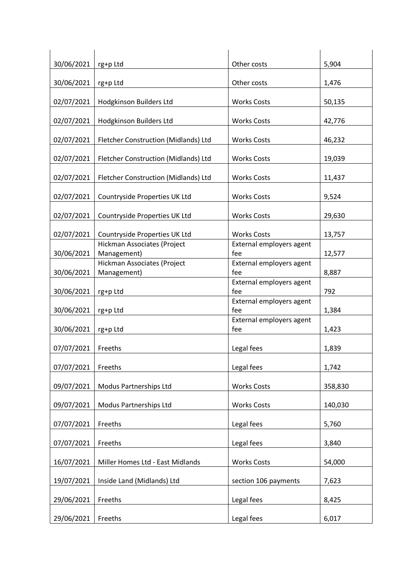| 30/06/2021 | rg+p Ltd                                   | Other costs                     | 5,904   |
|------------|--------------------------------------------|---------------------------------|---------|
| 30/06/2021 | rg+p Ltd                                   | Other costs                     | 1,476   |
| 02/07/2021 | Hodgkinson Builders Ltd                    | <b>Works Costs</b>              | 50,135  |
| 02/07/2021 | Hodgkinson Builders Ltd                    | <b>Works Costs</b>              | 42,776  |
| 02/07/2021 | Fletcher Construction (Midlands) Ltd       | <b>Works Costs</b>              | 46,232  |
| 02/07/2021 | Fletcher Construction (Midlands) Ltd       | <b>Works Costs</b>              | 19,039  |
| 02/07/2021 | Fletcher Construction (Midlands) Ltd       | <b>Works Costs</b>              | 11,437  |
| 02/07/2021 | Countryside Properties UK Ltd              | <b>Works Costs</b>              | 9,524   |
| 02/07/2021 | Countryside Properties UK Ltd              | <b>Works Costs</b>              | 29,630  |
| 02/07/2021 | Countryside Properties UK Ltd              | <b>Works Costs</b>              | 13,757  |
| 30/06/2021 | Hickman Associates (Project<br>Management) | External employers agent<br>fee | 12,577  |
| 30/06/2021 | Hickman Associates (Project<br>Management) | External employers agent<br>fee | 8,887   |
| 30/06/2021 | rg+p Ltd                                   | External employers agent<br>fee | 792     |
| 30/06/2021 | rg+p Ltd                                   | External employers agent<br>fee | 1,384   |
| 30/06/2021 | rg+p Ltd                                   | External employers agent<br>fee | 1,423   |
| 07/07/2021 | Freeths                                    | Legal fees                      | 1,839   |
| 07/07/2021 | Freeths                                    | Legal fees                      | 1,742   |
| 09/07/2021 | Modus Partnerships Ltd                     | <b>Works Costs</b>              | 358,830 |
| 09/07/2021 | Modus Partnerships Ltd                     | <b>Works Costs</b>              | 140,030 |
| 07/07/2021 | Freeths                                    | Legal fees                      | 5,760   |
| 07/07/2021 | Freeths                                    | Legal fees                      | 3,840   |
| 16/07/2021 | Miller Homes Ltd - East Midlands           | <b>Works Costs</b>              | 54,000  |
| 19/07/2021 | Inside Land (Midlands) Ltd                 | section 106 payments            | 7,623   |
| 29/06/2021 | Freeths                                    | Legal fees                      | 8,425   |
| 29/06/2021 | Freeths                                    | Legal fees                      | 6,017   |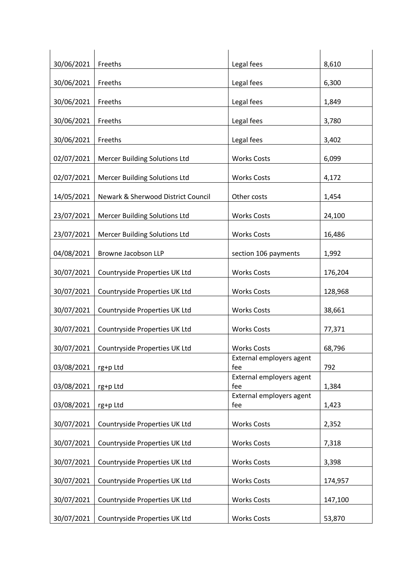| 30/06/2021 | Freeths                              | Legal fees                      | 8,610   |
|------------|--------------------------------------|---------------------------------|---------|
| 30/06/2021 | Freeths                              | Legal fees                      | 6,300   |
| 30/06/2021 | Freeths                              | Legal fees                      | 1,849   |
| 30/06/2021 | Freeths                              | Legal fees                      | 3,780   |
| 30/06/2021 | Freeths                              | Legal fees                      | 3,402   |
| 02/07/2021 | Mercer Building Solutions Ltd        | <b>Works Costs</b>              | 6,099   |
| 02/07/2021 | <b>Mercer Building Solutions Ltd</b> | <b>Works Costs</b>              | 4,172   |
| 14/05/2021 | Newark & Sherwood District Council   | Other costs                     | 1,454   |
| 23/07/2021 | <b>Mercer Building Solutions Ltd</b> | <b>Works Costs</b>              | 24,100  |
| 23/07/2021 | <b>Mercer Building Solutions Ltd</b> | <b>Works Costs</b>              | 16,486  |
| 04/08/2021 | Browne Jacobson LLP                  | section 106 payments            | 1,992   |
| 30/07/2021 | Countryside Properties UK Ltd        | <b>Works Costs</b>              | 176,204 |
| 30/07/2021 | Countryside Properties UK Ltd        | <b>Works Costs</b>              | 128,968 |
| 30/07/2021 | Countryside Properties UK Ltd        | <b>Works Costs</b>              | 38,661  |
| 30/07/2021 | Countryside Properties UK Ltd        | <b>Works Costs</b>              | 77,371  |
| 30/07/2021 | Countryside Properties UK Ltd        | <b>Works Costs</b>              | 68,796  |
| 03/08/2021 | rg+p Ltd                             | External employers agent<br>fee | 792     |
| 03/08/2021 | rg+p Ltd                             | External employers agent<br>fee | 1,384   |
| 03/08/2021 | rg+p Ltd                             | External employers agent<br>fee | 1,423   |
| 30/07/2021 | Countryside Properties UK Ltd        | <b>Works Costs</b>              | 2,352   |
| 30/07/2021 | Countryside Properties UK Ltd        | <b>Works Costs</b>              | 7,318   |
| 30/07/2021 | Countryside Properties UK Ltd        | <b>Works Costs</b>              | 3,398   |
| 30/07/2021 | Countryside Properties UK Ltd        | <b>Works Costs</b>              | 174,957 |
| 30/07/2021 | Countryside Properties UK Ltd        | <b>Works Costs</b>              | 147,100 |
| 30/07/2021 | Countryside Properties UK Ltd        | <b>Works Costs</b>              | 53,870  |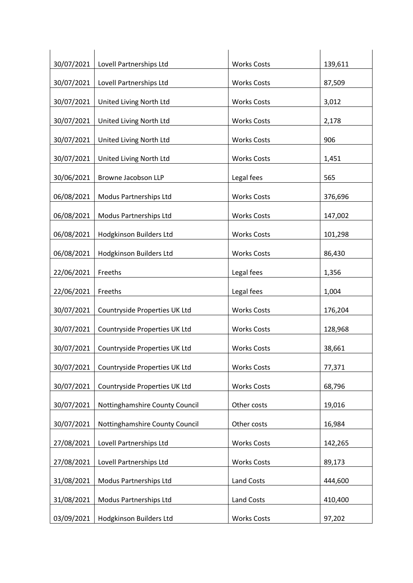| 30/07/2021               | Lovell Partnerships Ltd                           | <b>Works Costs</b>               | 139,611           |
|--------------------------|---------------------------------------------------|----------------------------------|-------------------|
| 30/07/2021               | Lovell Partnerships Ltd                           | <b>Works Costs</b>               | 87,509            |
| 30/07/2021               | United Living North Ltd                           | <b>Works Costs</b>               | 3,012             |
| 30/07/2021               | United Living North Ltd                           | <b>Works Costs</b>               | 2,178             |
| 30/07/2021               | United Living North Ltd                           | <b>Works Costs</b>               | 906               |
| 30/07/2021               | United Living North Ltd                           | <b>Works Costs</b>               | 1,451             |
| 30/06/2021               | Browne Jacobson LLP                               | Legal fees                       | 565               |
| 06/08/2021               | Modus Partnerships Ltd                            | <b>Works Costs</b>               | 376,696           |
| 06/08/2021               | Modus Partnerships Ltd                            | <b>Works Costs</b>               | 147,002           |
| 06/08/2021               | Hodgkinson Builders Ltd                           | <b>Works Costs</b>               | 101,298           |
| 06/08/2021               | Hodgkinson Builders Ltd                           | <b>Works Costs</b>               | 86,430            |
| 22/06/2021               | Freeths                                           | Legal fees                       | 1,356             |
| 22/06/2021               | Freeths                                           | Legal fees                       | 1,004             |
| 30/07/2021               | Countryside Properties UK Ltd                     | <b>Works Costs</b>               | 176,204           |
| 30/07/2021               | Countryside Properties UK Ltd                     | <b>Works Costs</b>               | 128,968           |
| 30/07/2021               | Countryside Properties UK Ltd                     | <b>Works Costs</b>               | 38,661            |
| 30/07/2021               | Countryside Properties UK Ltd                     | <b>Works Costs</b>               | 77,371            |
| 30/07/2021               | Countryside Properties UK Ltd                     | <b>Works Costs</b>               | 68,796            |
| 30/07/2021               | Nottinghamshire County Council                    | Other costs                      | 19,016            |
| 30/07/2021               | Nottinghamshire County Council                    | Other costs                      | 16,984            |
| 27/08/2021               | Lovell Partnerships Ltd                           | <b>Works Costs</b>               | 142,265           |
| 27/08/2021               | Lovell Partnerships Ltd                           | <b>Works Costs</b>               | 89,173            |
| 31/08/2021               |                                                   | Land Costs                       |                   |
|                          | Modus Partnerships Ltd                            |                                  | 444,600           |
| 31/08/2021<br>03/09/2021 | Modus Partnerships Ltd<br>Hodgkinson Builders Ltd | Land Costs<br><b>Works Costs</b> | 410,400<br>97,202 |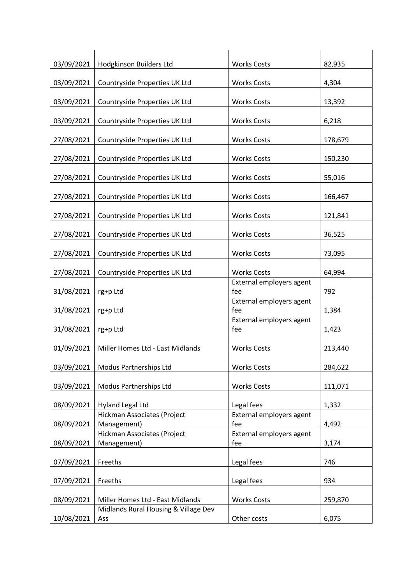| 03/09/2021 | Hodgkinson Builders Ltd                     | <b>Works Costs</b>              | 82,935  |
|------------|---------------------------------------------|---------------------------------|---------|
| 03/09/2021 | Countryside Properties UK Ltd               | <b>Works Costs</b>              | 4,304   |
| 03/09/2021 | Countryside Properties UK Ltd               | <b>Works Costs</b>              | 13,392  |
| 03/09/2021 | Countryside Properties UK Ltd               | <b>Works Costs</b>              | 6,218   |
| 27/08/2021 | Countryside Properties UK Ltd               | <b>Works Costs</b>              | 178,679 |
| 27/08/2021 | Countryside Properties UK Ltd               | <b>Works Costs</b>              | 150,230 |
| 27/08/2021 | Countryside Properties UK Ltd               | <b>Works Costs</b>              | 55,016  |
| 27/08/2021 | Countryside Properties UK Ltd               | <b>Works Costs</b>              | 166,467 |
| 27/08/2021 | Countryside Properties UK Ltd               | <b>Works Costs</b>              | 121,841 |
| 27/08/2021 | Countryside Properties UK Ltd               | <b>Works Costs</b>              | 36,525  |
| 27/08/2021 | Countryside Properties UK Ltd               | <b>Works Costs</b>              | 73,095  |
| 27/08/2021 | Countryside Properties UK Ltd               | <b>Works Costs</b>              | 64,994  |
| 31/08/2021 | rg+p Ltd                                    | External employers agent<br>fee | 792     |
|            |                                             | External employers agent        |         |
| 31/08/2021 | rg+p Ltd                                    | fee                             | 1,384   |
| 31/08/2021 | rg+p Ltd                                    | External employers agent<br>fee | 1,423   |
| 01/09/2021 | Miller Homes Ltd - East Midlands            | <b>Works Costs</b>              | 213,440 |
| 03/09/2021 | Modus Partnerships Ltd                      | <b>Works Costs</b>              | 284,622 |
| 03/09/2021 | Modus Partnerships Ltd                      | <b>Works Costs</b>              | 111,071 |
| 08/09/2021 | <b>Hyland Legal Ltd</b>                     | Legal fees                      | 1,332   |
| 08/09/2021 | Hickman Associates (Project<br>Management)  | External employers agent<br>fee | 4,492   |
| 08/09/2021 | Hickman Associates (Project<br>Management)  | External employers agent<br>fee | 3,174   |
| 07/09/2021 | Freeths                                     | Legal fees                      | 746     |
| 07/09/2021 | Freeths                                     | Legal fees                      | 934     |
| 08/09/2021 | Miller Homes Ltd - East Midlands            | <b>Works Costs</b>              | 259,870 |
| 10/08/2021 | Midlands Rural Housing & Village Dev<br>Ass | Other costs                     | 6,075   |